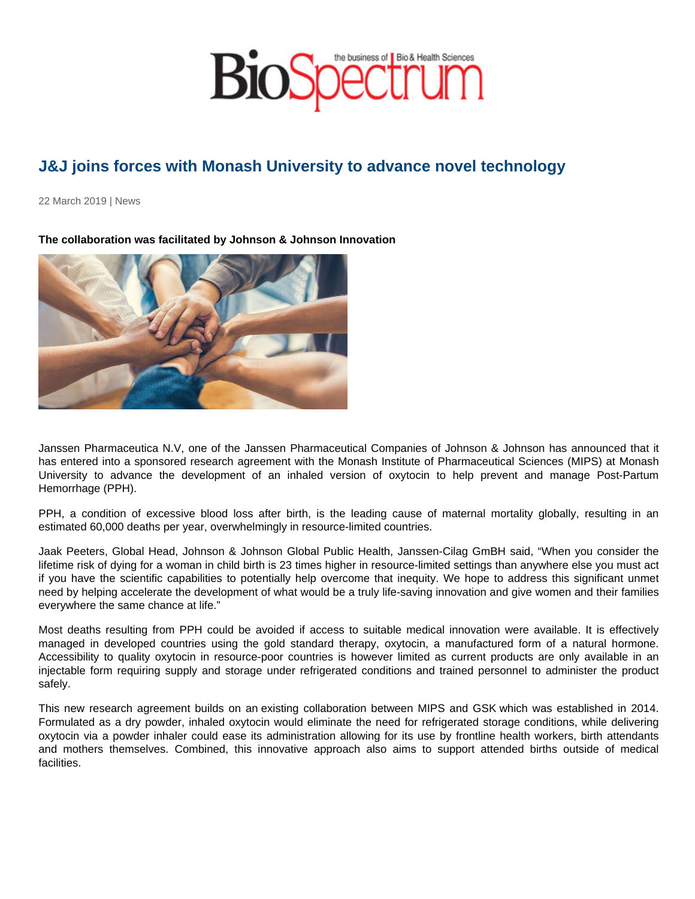## J&J joins forces with Monash University to advance novel technology

22 March 2019 | News

The collaboration was facilitated by Johnson & Johnson Innovation

Janssen Pharmaceutica N.V, one of the Janssen Pharmaceutical Companies of Johnson & Johnson has announced that it has entered into a sponsored research agreement with the Monash Institute of Pharmaceutical Sciences (MIPS) at Monash University to advance the development of an inhaled version of oxytocin to help prevent and manage Post-Partum Hemorrhage (PPH).

PPH, a condition of excessive blood loss after birth, is the leading cause of maternal mortality globally, resulting in an estimated 60,000 deaths per year, overwhelmingly in resource-limited countries.

Jaak Peeters, Global Head, Johnson & Johnson Global Public Health, Janssen-Cilag GmBH said, "When you consider the lifetime risk of dying for a woman in child birth is 23 times higher in resource-limited settings than anywhere else you must act if you have the scientific capabilities to potentially help overcome that inequity. We hope to address this significant unmet need by helping accelerate the development of what would be a truly life-saving innovation and give women and their families everywhere the same chance at life."

Most deaths resulting from PPH could be avoided if access to suitable medical innovation were available. It is effectively managed in developed countries using the gold standard therapy, oxytocin, a manufactured form of a natural hormone. Accessibility to quality oxytocin in resource-poor countries is however limited as current products are only available in an injectable form requiring supply and storage under refrigerated conditions and trained personnel to administer the product safely.

This new research agreement builds on an existing collaboration between MIPS and GSK which was established in 2014. Formulated as a dry powder, inhaled oxytocin would eliminate the need for refrigerated storage conditions, while delivering oxytocin via a powder inhaler could ease its administration allowing for its use by frontline health workers, birth attendants and mothers themselves. Combined, this innovative approach also aims to support attended births outside of medical facilities.